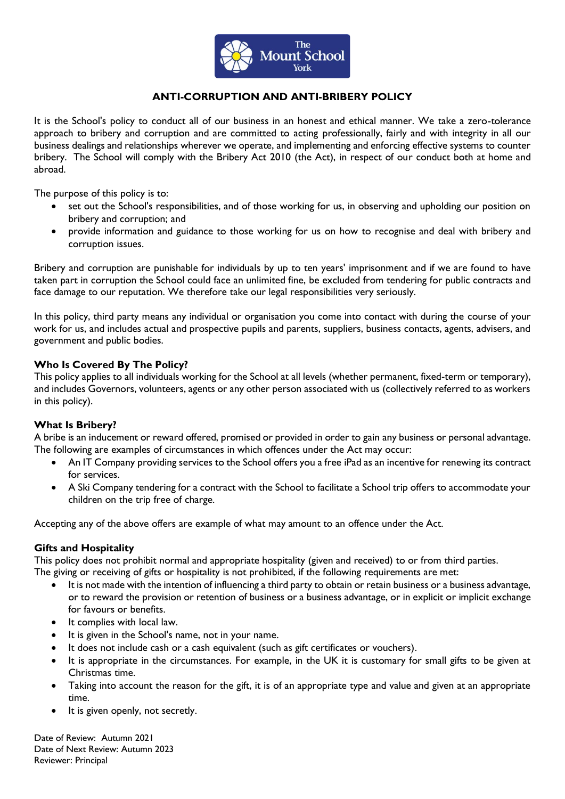

# **ANTI-CORRUPTION AND ANTI-BRIBERY POLICY**

It is the School's policy to conduct all of our business in an honest and ethical manner. We take a zero-tolerance approach to bribery and corruption and are committed to acting professionally, fairly and with integrity in all our business dealings and relationships wherever we operate, and implementing and enforcing effective systems to counter bribery. The School will comply with the Bribery Act 2010 (the Act), in respect of our conduct both at home and abroad.

The purpose of this policy is to:

- set out the School's responsibilities, and of those working for us, in observing and upholding our position on bribery and corruption; and
- provide information and guidance to those working for us on how to recognise and deal with bribery and corruption issues.

Bribery and corruption are punishable for individuals by up to ten years' imprisonment and if we are found to have taken part in corruption the School could face an unlimited fine, be excluded from tendering for public contracts and face damage to our reputation. We therefore take our legal responsibilities very seriously.

In this policy, third party means any individual or organisation you come into contact with during the course of your work for us, and includes actual and prospective pupils and parents, suppliers, business contacts, agents, advisers, and government and public bodies.

### **Who Is Covered By The Policy?**

This policy applies to all individuals working for the School at all levels (whether permanent, fixed-term or temporary), and includes Governors, volunteers, agents or any other person associated with us (collectively referred to as workers in this policy).

## **What Is Bribery?**

A bribe is an inducement or reward offered, promised or provided in order to gain any business or personal advantage. The following are examples of circumstances in which offences under the Act may occur:

- An IT Company providing services to the School offers you a free iPad as an incentive for renewing its contract for services.
- A Ski Company tendering for a contract with the School to facilitate a School trip offers to accommodate your children on the trip free of charge.

Accepting any of the above offers are example of what may amount to an offence under the Act.

#### **Gifts and Hospitality**

This policy does not prohibit normal and appropriate hospitality (given and received) to or from third parties.

The giving or receiving of gifts or hospitality is not prohibited, if the following requirements are met:

- It is not made with the intention of influencing a third party to obtain or retain business or a business advantage, or to reward the provision or retention of business or a business advantage, or in explicit or implicit exchange for favours or benefits.
- It complies with local law.
- It is given in the School's name, not in your name.
- It does not include cash or a cash equivalent (such as gift certificates or vouchers).
- It is appropriate in the circumstances. For example, in the UK it is customary for small gifts to be given at Christmas time.
- Taking into account the reason for the gift, it is of an appropriate type and value and given at an appropriate time.
- It is given openly, not secretly.

Date of Review: Autumn 2021 Date of Next Review: Autumn 2023 Reviewer: Principal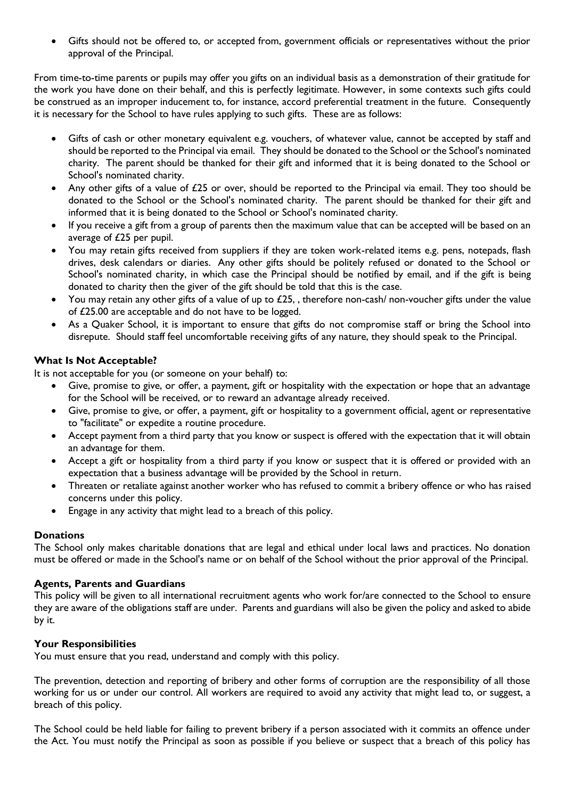• Gifts should not be offered to, or accepted from, government officials or representatives without the prior approval of the Principal.

From time-to-time parents or pupils may offer you gifts on an individual basis as a demonstration of their gratitude for the work you have done on their behalf, and this is perfectly legitimate. However, in some contexts such gifts could be construed as an improper inducement to, for instance, accord preferential treatment in the future. Consequently it is necessary for the School to have rules applying to such gifts. These are as follows:

- Gifts of cash or other monetary equivalent e.g. vouchers, of whatever value, cannot be accepted by staff and should be reported to the Principal via email. They should be donated to the School or the School's nominated charity. The parent should be thanked for their gift and informed that it is being donated to the School or School's nominated charity.
- Any other gifts of a value of £25 or over, should be reported to the Principal via email. They too should be donated to the School or the School's nominated charity. The parent should be thanked for their gift and informed that it is being donated to the School or School's nominated charity.
- If you receive a gift from a group of parents then the maximum value that can be accepted will be based on an average of £25 per pupil.
- You may retain gifts received from suppliers if they are token work-related items e.g. pens, notepads, flash drives, desk calendars or diaries. Any other gifts should be politely refused or donated to the School or School's nominated charity, in which case the Principal should be notified by email, and if the gift is being donated to charity then the giver of the gift should be told that this is the case.
- You may retain any other gifts of a value of up to £25, , therefore non-cash/ non-voucher gifts under the value of £25.00 are acceptable and do not have to be logged.
- As a Quaker School, it is important to ensure that gifts do not compromise staff or bring the School into disrepute. Should staff feel uncomfortable receiving gifts of any nature, they should speak to the Principal.

# **What Is Not Acceptable?**

It is not acceptable for you (or someone on your behalf) to:

- Give, promise to give, or offer, a payment, gift or hospitality with the expectation or hope that an advantage for the School will be received, or to reward an advantage already received.
- Give, promise to give, or offer, a payment, gift or hospitality to a government official, agent or representative to "facilitate" or expedite a routine procedure.
- Accept payment from a third party that you know or suspect is offered with the expectation that it will obtain an advantage for them.
- Accept a gift or hospitality from a third party if you know or suspect that it is offered or provided with an expectation that a business advantage will be provided by the School in return.
- Threaten or retaliate against another worker who has refused to commit a bribery offence or who has raised concerns under this policy.
- Engage in any activity that might lead to a breach of this policy.

## **Donations**

The School only makes charitable donations that are legal and ethical under local laws and practices. No donation must be offered or made in the School's name or on behalf of the School without the prior approval of the Principal.

## **Agents, Parents and Guardians**

This policy will be given to all international recruitment agents who work for/are connected to the School to ensure they are aware of the obligations staff are under. Parents and guardians will also be given the policy and asked to abide by it.

## **Your Responsibilities**

You must ensure that you read, understand and comply with this policy.

The prevention, detection and reporting of bribery and other forms of corruption are the responsibility of all those working for us or under our control. All workers are required to avoid any activity that might lead to, or suggest, a breach of this policy.

The School could be held liable for failing to prevent bribery if a person associated with it commits an offence under the Act. You must notify the Principal as soon as possible if you believe or suspect that a breach of this policy has